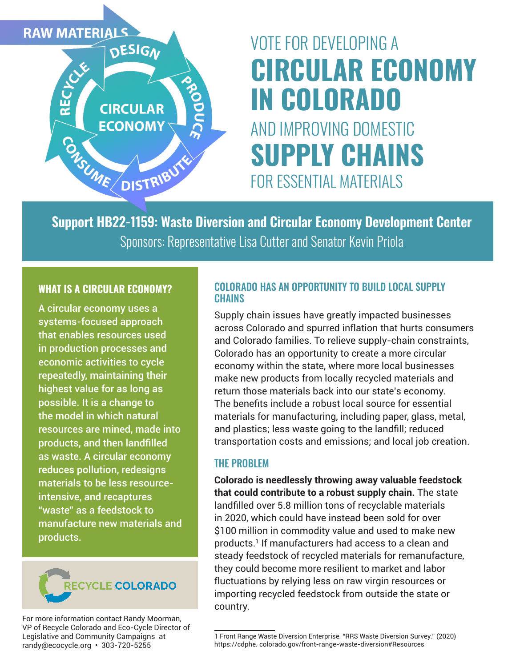

# VOTE FOR DEVELOPING A CIRCULAR ECONOMY IN COLORADO AND IMPROVING DOMESTIC SUPPLY CHAINS FOR ESSENTIAL MATERIALS

Support HB22-1159: Waste Diversion and Circular Economy Development Center Sponsors: Representative Lisa Cutter and Senator Kevin Priola

## WHAT IS A CIRCULAR ECONOMY?

A circular economy uses a systems-focused approach that enables resources used in production processes and economic activities to cycle repeatedly, maintaining their highest value for as long as possible. It is a change to the model in which natural resources are mined, made into products, and then landfilled as waste. A circular economy reduces pollution, redesigns materials to be less resourceintensive, and recaptures "waste" as a feedstock to manufacture new materials and products.



For more information contact Randy Moorman, VP of Recycle Colorado and Eco-Cycle Director of Legislative and Community Campaigns at randy@ecocycle.org • 303-720-5255

## COLORADO HAS AN OPPORTUNITY TO BUILD LOCAL SUPPLY **CHAINS**

Supply chain issues have greatly impacted businesses across Colorado and spurred inflation that hurts consumers and Colorado families. To relieve supply-chain constraints, Colorado has an opportunity to create a more circular economy within the state, where more local businesses make new products from locally recycled materials and return those materials back into our state's economy. The benefits include a robust local source for essential materials for manufacturing, including paper, glass, metal, and plastics; less waste going to the landfill; reduced transportation costs and emissions; and local job creation.

## THE PROBLEM

**Colorado is needlessly throwing away valuable feedstock that could contribute to a robust supply chain.** The state landfilled over 5.8 million tons of recyclable materials in 2020, which could have instead been sold for over \$100 million in commodity value and used to make new products.1 If manufacturers had access to a clean and steady feedstock of recycled materials for remanufacture, they could become more resilient to market and labor fluctuations by relying less on raw virgin resources or importing recycled feedstock from outside the state or country.

<sup>1</sup> Front Range Waste Diversion Enterprise. "RRS Waste Diversion Survey." (2020) https://cdphe. colorado.gov/front-range-waste-diversion#Resources